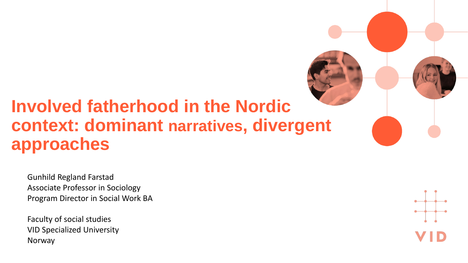#### **Involved fatherhood in the Nordic context: dominant narratives, divergent approaches**

Gunhild Regland Farstad Associate Professor in Sociology Program Director in Social Work BA

Faculty of social studies VID Specialized University Norway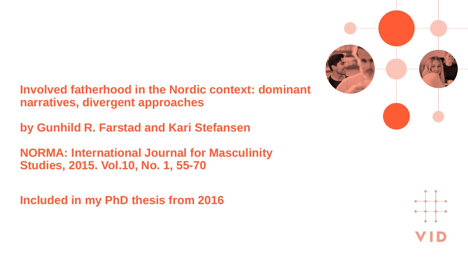**Involved fatherhood in the Nordic context: dominant narratives, divergent approaches**

**by Gunhild R. Farstad and Kari Stefansen**

**NORMA: International Journal for Masculinity Studies, 2015. Vol.10, No. 1, 55-70**

**Included in my PhD thesis from 2016**



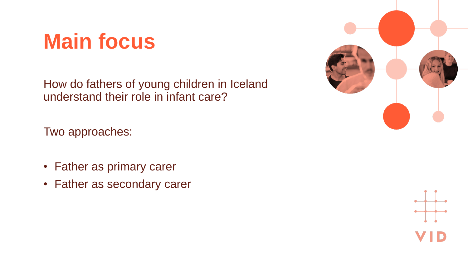### **Main focus**

How do fathers of young children in Iceland understand their role in infant care?

Two approaches:

- Father as primary carer
- Father as secondary carer



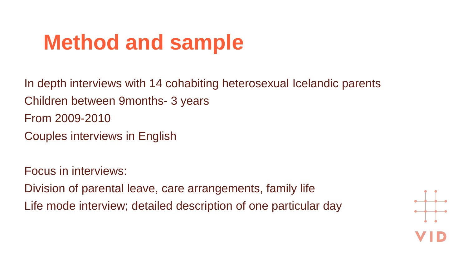# **Method and sample**

In depth interviews with 14 cohabiting heterosexual Icelandic parents Children between 9months- 3 years From 2009-2010 Couples interviews in English

Focus in interviews: Division of parental leave, care arrangements, family life Life mode interview; detailed description of one particular day

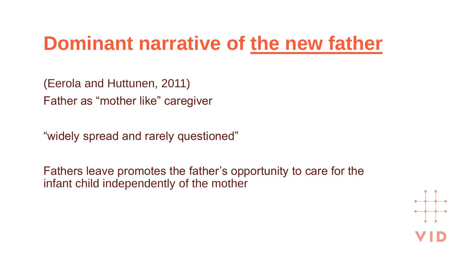### **Dominant narrative of the new father**

(Eerola and Huttunen, 2011) Father as "mother like" caregiver

"widely spread and rarely questioned"

Fathers leave promotes the father's opportunity to care for the infant child independently of the mother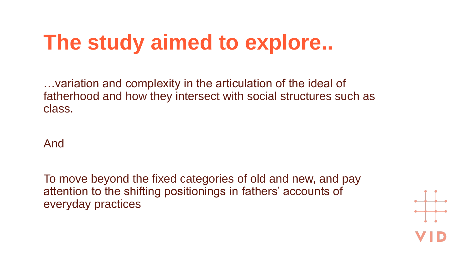# **The study aimed to explore..**

…variation and complexity in the articulation of the ideal of fatherhood and how they intersect with social structures such as class.

And

To move beyond the fixed categories of old and new, and pay attention to the shifting positionings in fathers' accounts of everyday practices

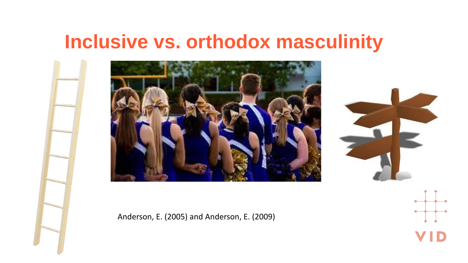#### **Inclusive vs. orthodox masculinity**





Anderson, E. (2005) and Anderson, E. (2009)

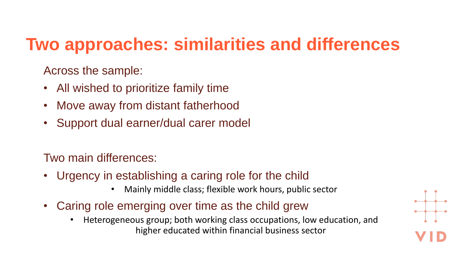#### **Two approaches: similarities and differences**

Across the sample:

- All wished to prioritize family time
- Move away from distant fatherhood
- Support dual earner/dual carer model

Two main differences:

- Urgency in establishing a caring role for the child
	- Mainly middle class; flexible work hours, public sector
- Caring role emerging over time as the child grew
	- Heterogeneous group; both working class occupations, low education, and higher educated within financial business sector

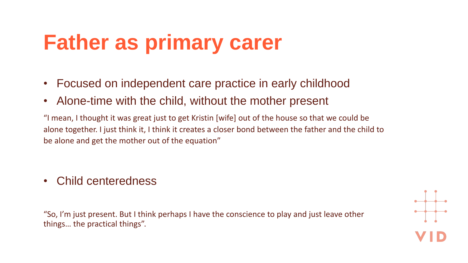# **Father as primary carer**

- Focused on independent care practice in early childhood
- Alone-time with the child, without the mother present

"I mean, I thought it was great just to get Kristin [wife] out of the house so that we could be alone together. I just think it, I think it creates a closer bond between the father and the child to be alone and get the mother out of the equation"

• Child centeredness

"So, I'm just present. But I think perhaps I have the conscience to play and just leave other things… the practical things".

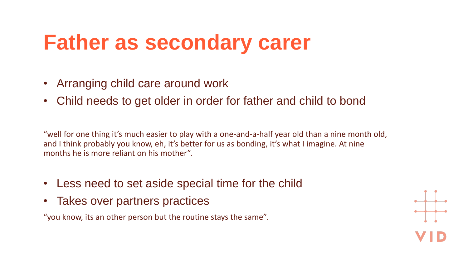# **Father as secondary carer**

- Arranging child care around work
- Child needs to get older in order for father and child to bond

"well for one thing it's much easier to play with a one-and-a-half year old than a nine month old, and I think probably you know, eh, it's better for us as bonding, it's what I imagine. At nine months he is more reliant on his mother".

- Less need to set aside special time for the child
- Takes over partners practices

"you know, its an other person but the routine stays the same".

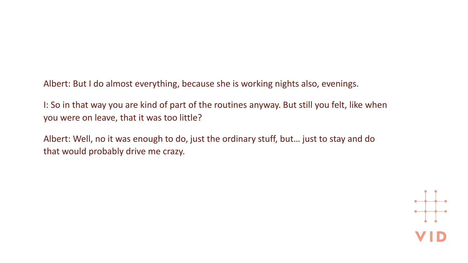Albert: But I do almost everything, because she is working nights also, evenings.

I: So in that way you are kind of part of the routines anyway. But still you felt, like when you were on leave, that it was too little?

Albert: Well, no it was enough to do, just the ordinary stuff, but… just to stay and do that would probably drive me crazy.

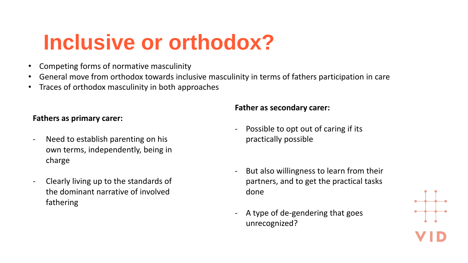# **Inclusive or orthodox?**

- Competing forms of normative masculinity
- General move from orthodox towards inclusive masculinity in terms of fathers participation in care
- Traces of orthodox masculinity in both approaches

#### **Fathers as primary carer:**

- Need to establish parenting on his own terms, independently, being in charge
- Clearly living up to the standards of the dominant narrative of involved fathering

#### **Father as secondary carer:**

- Possible to opt out of caring if its practically possible
- But also willingness to learn from their partners, and to get the practical tasks done
- A type of de-gendering that goes unrecognized?

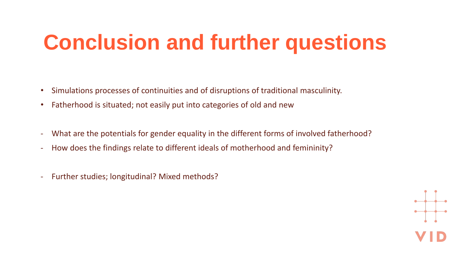# **Conclusion and further questions**

- Simulations processes of continuities and of disruptions of traditional masculinity.
- Fatherhood is situated; not easily put into categories of old and new
- What are the potentials for gender equality in the different forms of involved fatherhood?
- How does the findings relate to different ideals of motherhood and femininity?
- Further studies; longitudinal? Mixed methods?